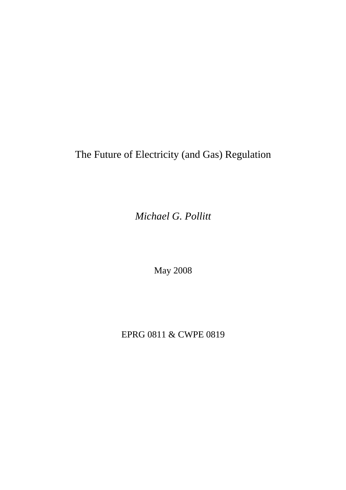# The Future of Electricity (and Gas) Regulation

*Michael G. Pollitt* 

May 2008

EPRG 0811 & CWPE 0819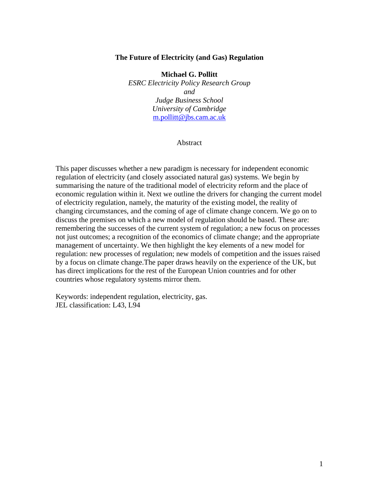### **The Future of Electricity (and Gas) Regulation**

**Michael G. Pollitt**  *ESRC Electricity Policy Research Group and Judge Business School University of Cambridge*  [m.pollitt@jbs.cam.ac.uk](mailto:m.pollitt@jbs.cam.ac.uk)

#### Abstract

This paper discusses whether a new paradigm is necessary for independent economic regulation of electricity (and closely associated natural gas) systems. We begin by summarising the nature of the traditional model of electricity reform and the place of economic regulation within it. Next we outline the drivers for changing the current model of electricity regulation, namely, the maturity of the existing model, the reality of changing circumstances, and the coming of age of climate change concern. We go on to discuss the premises on which a new model of regulation should be based. These are: remembering the successes of the current system of regulation; a new focus on processes not just outcomes; a recognition of the economics of climate change; and the appropriate management of uncertainty. We then highlight the key elements of a new model for regulation: new processes of regulation; new models of competition and the issues raised by a focus on climate change.The paper draws heavily on the experience of the UK, but has direct implications for the rest of the European Union countries and for other countries whose regulatory systems mirror them.

Keywords: independent regulation, electricity, gas. JEL classification: L43, L94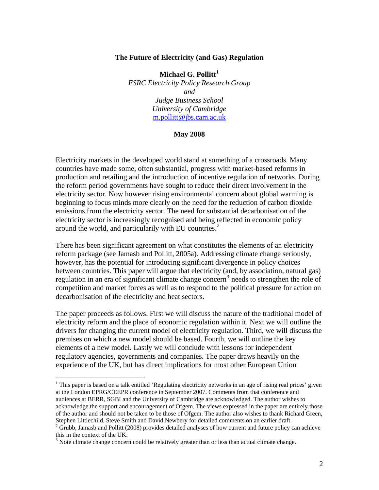### **The Future of Electricity (and Gas) Regulation**

**Michael G. Pollitt[1](#page-2-0)** *ESRC Electricity Policy Research Group and Judge Business School University of Cambridge*  [m.pollitt@jbs.cam.ac.uk](mailto:m.pollitt@jbs.cam.ac.uk)

#### **May 2008**

Electricity markets in the developed world stand at something of a crossroads. Many countries have made some, often substantial, progress with market-based reforms in production and retailing and the introduction of incentive regulation of networks. During the reform period governments have sought to reduce their direct involvement in the electricity sector. Now however rising environmental concern about global warming is beginning to focus minds more clearly on the need for the reduction of carbon dioxide emissions from the electricity sector. The need for substantial decarbonisation of the electricity sector is increasingly recognised and being reflected in economic policy around the world, and particularily with EU countries. $<sup>2</sup>$  $<sup>2</sup>$  $<sup>2</sup>$ </sup>

There has been significant agreement on what constitutes the elements of an electricity reform package (see Jamasb and Pollitt, 2005a). Addressing climate change seriously, however, has the potential for introducing significant divergence in policy choices between countries. This paper will argue that electricity (and, by association, natural gas) regulation in an era of significant climate change concern<sup>[3](#page-2-2)</sup> needs to strengthen the role of competition and market forces as well as to respond to the political pressure for action on decarbonisation of the electricity and heat sectors.

The paper proceeds as follows. First we will discuss the nature of the traditional model of electricity reform and the place of economic regulation within it. Next we will outline the drivers for changing the current model of electricity regulation. Third, we will discuss the premises on which a new model should be based. Fourth, we will outline the key elements of a new model. Lastly we will conclude with lessons for independent regulatory agencies, governments and companies. The paper draws heavily on the experience of the UK, but has direct implications for most other European Union

<span id="page-2-0"></span><sup>&</sup>lt;sup>1</sup> This paper is based on a talk entitled 'Regulating electricity networks in an age of rising real prices' given at the London EPRG/CEEPR conference in September 2007. Comments from that conference and audiences at BERR, SGBI and the University of Cambridge are acknowledged. The author wishes to acknowledge the support and encouragement of Ofgem. The views expressed in the paper are entirely those of the author and should not be taken to be those of Ofgem. The author also wishes to thank Richard Green, Stephen Littlechild, Steve Smith and David Newbery for detailed comments on an earlier draft.

<span id="page-2-1"></span> $2$  Grubb, Jamasb and Pollitt (2008) provides detailed analyses of how current and future policy can achieve this in the context of the UK.

<span id="page-2-2"></span> $3$  Note climate change concern could be relatively greater than or less than actual climate change.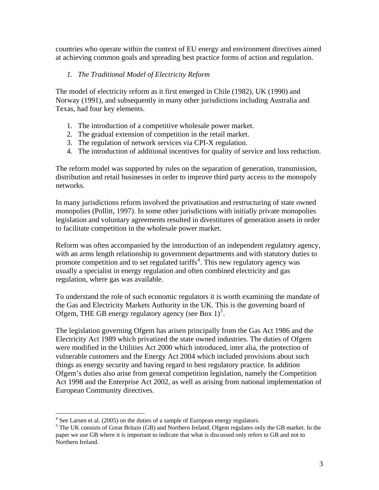countries who operate within the context of EU energy and environment directives aimed at achieving common goals and spreading best practice forms of action and regulation.

# *1. The Traditional Model of Electricity Reform*

The model of electricity reform as it first emerged in Chile (1982), UK (1990) and Norway (1991), and subsequently in many other jurisdictions including Australia and Texas, had four key elements.

- 1. The introduction of a competitive wholesale power market.
- 2. The gradual extension of competition in the retail market.
- 3. The regulation of network services via CPI-X regulation.
- 4. The introduction of additional incentives for quality of service and loss reduction.

The reform model was supported by rules on the separation of generation, transmission, distribution and retail businesses in order to improve third party access to the monopoly networks.

In many jurisdictions reform involved the privatisation and restructuring of state owned monopolies (Pollitt, 1997). In some other jurisdictions with initially private monopolies legislation and voluntary agreements resulted in divestitures of generation assets in order to facilitate competition in the wholesale power market.

Reform was often accompanied by the introduction of an independent regulatory agency, with an arms length relationship to government departments and with statutory duties to promote competition and to set regulated tariffs<sup>[4](#page-3-0)</sup>. This new regulatory agency was usually a specialist in energy regulation and often combined electricity and gas regulation, where gas was available.

To understand the role of such economic regulators it is worth examining the mandate of the Gas and Electricity Markets Authority in the UK. This is the governing board of Ofgem, THE GB energy regulatory agency (see Box  $1)^5$  $1)^5$ .

The legislation governing Ofgem has arisen principally from the Gas Act 1986 and the Electricity Act 1989 which privatized the state owned industries. The duties of Ofgem were modified in the Utilities Act 2000 which introduced, inter alia, the protection of vulnerable customers and the Energy Act 2004 which included provisions about such things as energy security and having regard to best regulatory practice. In addition Ofgem's duties also arise from general competition legislation, namely the Competition Act 1998 and the Enterprise Act 2002, as well as arising from national implementation of European Community directives.

 $\frac{1}{4}$ 

<span id="page-3-1"></span><span id="page-3-0"></span><sup>&</sup>lt;sup>4</sup> See Larsen et al. (2005) on the duties of a sample of European energy regulators.<br><sup>5</sup> The UK consists of Great Britain (GB) and Northern Ireland. Ofgem regulates only the GB market. In the paper we use GB where it is important to indicate that what is discussed only refers to GB and not to Northern Ireland.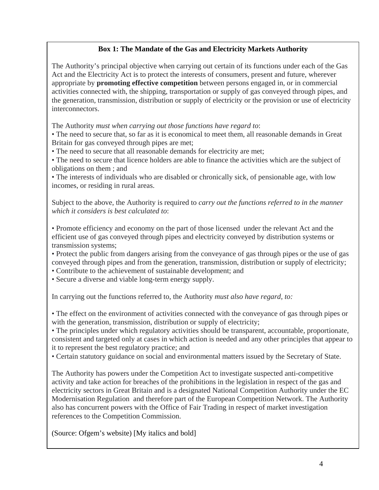# **Box 1: The Mandate of the Gas and Electricity Markets Authority**

The Authority's principal objective when carrying out certain of its functions under each of the Gas Act and the Electricity Act is to protect the interests of consumers, present and future, wherever appropriate by **promoting effective competition** between persons engaged in, or in commercial activities connected with, the shipping, transportation or supply of gas conveyed through pipes, and the generation, transmission, distribution or supply of electricity or the provision or use of electricity interconnectors.

The Authority *must when carrying out those functions have regard to*:

• The need to secure that, so far as it is economical to meet them, all reasonable demands in Great Britain for gas conveyed through pipes are met;

• The need to secure that all reasonable demands for electricity are met;

• The need to secure that licence holders are able to finance the activities which are the subject of obligations on them ; and

• The interests of individuals who are disabled or chronically sick, of pensionable age, with low incomes, or residing in rural areas.

Subject to the above, the Authority is required to *carry out the functions referred to in the manner which it considers is best calculated to*:

• Promote efficiency and economy on the part of those licensed under the relevant Act and the efficient use of gas conveyed through pipes and electricity conveyed by distribution systems or transmission systems;

• Protect the public from dangers arising from the conveyance of gas through pipes or the use of gas conveyed through pipes and from the generation, transmission, distribution or supply of electricity;

• Contribute to the achievement of sustainable development; and

• Secure a diverse and viable long-term energy supply.

In carrying out the functions referred to, the Authority *must also have regard, to:*

• The effect on the environment of activities connected with the conveyance of gas through pipes or with the generation, transmission, distribution or supply of electricity;

• The principles under which regulatory activities should be transparent, accountable, proportionate, consistent and targeted only at cases in which action is needed and any other principles that appear to it to represent the best regulatory practice; and

• Certain statutory guidance on social and environmental matters issued by the Secretary of State.

The Authority has powers under the Competition Act to investigate suspected anti-competitive activity and take action for breaches of the prohibitions in the legislation in respect of the gas and electricity sectors in Great Britain and is a designated National Competition Authority under the EC Modernisation Regulation and therefore part of the European Competition Network. The Authority also has concurrent powers with the Office of Fair Trading in respect of market investigation references to the Competition Commission.

(Source: Ofgem's website) [My italics and bold]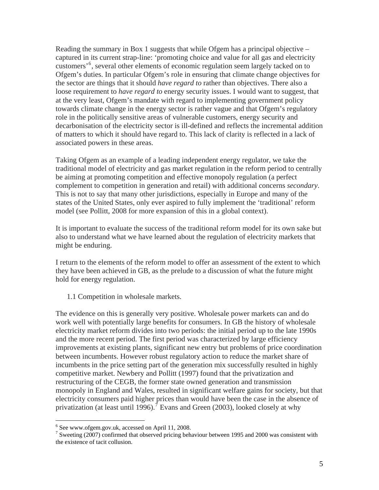Reading the summary in Box 1 suggests that while Ofgem has a principal objective – captured in its current strap-line: 'promoting choice and value for all gas and electricity customers'[6](#page-5-0) , several other elements of economic regulation seem largely tacked on to Ofgem's duties. In particular Ofgem's role in ensuring that climate change objectives for the sector are things that it should *have regard to* rather than objectives. There also a loose requirement to *have regard to* energy security issues. I would want to suggest, that at the very least, Ofgem's mandate with regard to implementing government policy towards climate change in the energy sector is rather vague and that Ofgem's regulatory role in the politically sensitive areas of vulnerable customers, energy security and decarbonisation of the electricity sector is ill-defined and reflects the incremental addition of matters to which it should have regard to. This lack of clarity is reflected in a lack of associated powers in these areas.

Taking Ofgem as an example of a leading independent energy regulator, we take the traditional model of electricity and gas market regulation in the reform period to centrally be aiming at promoting competition and effective monopoly regulation (a perfect complement to competition in generation and retail) with additional concerns *secondary*. This is not to say that many other jurisdictions, especially in Europe and many of the states of the United States, only ever aspired to fully implement the 'traditional' reform model (see Pollitt, 2008 for more expansion of this in a global context).

It is important to evaluate the success of the traditional reform model for its own sake but also to understand what we have learned about the regulation of electricity markets that might be enduring.

I return to the elements of the reform model to offer an assessment of the extent to which they have been achieved in GB, as the prelude to a discussion of what the future might hold for energy regulation.

1.1 Competition in wholesale markets.

The evidence on this is generally very positive. Wholesale power markets can and do work well with potentially large benefits for consumers. In GB the history of wholesale electricity market reform divides into two periods: the initial period up to the late 1990s and the more recent period. The first period was characterized by large efficiency improvements at existing plants, significant new entry but problems of price coordination between incumbents. However robust regulatory action to reduce the market share of incumbents in the price setting part of the generation mix successfully resulted in highly competitive market. Newbery and Pollitt (1997) found that the privatization and restructuring of the CEGB, the former state owned generation and transmission monopoly in England and Wales, resulted in significant welfare gains for society, but that electricity consumers paid higher prices than would have been the case in the absence of privatization (at least until 1996).<sup>[7](#page-5-1)</sup> Evans and Green (2003), looked closely at why

<sup>6</sup> See www.ofgem.gov.uk, accessed on April 11, 2008.

<span id="page-5-1"></span><span id="page-5-0"></span><sup>&</sup>lt;sup>7</sup> Sweeting (2007) confirmed that observed pricing behaviour between 1995 and 2000 was consistent with the existence of tacit collusion.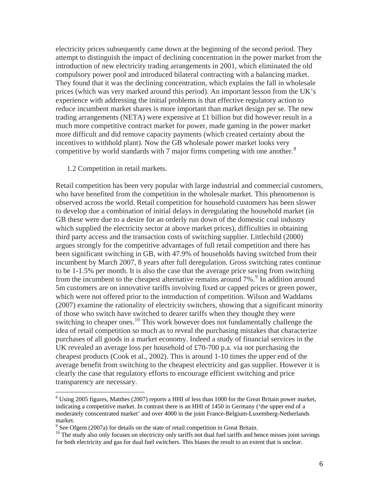electricity prices subsequently came down at the beginning of the second period. They attempt to distinguish the impact of declining concentration in the power market from the introduction of new electricity trading arrangements in 2001, which eliminated the old compulsory power pool and introduced bilateral contracting with a balancing market. They found that it was the declining concentration, which explains the fall in wholesale prices (which was very marked around this period). An important lesson from the UK's experience with addressing the initial problems is that effective regulatory action to reduce incumbent market shares is more important than market design per se. The new trading arrangements (NETA) were expensive at £1 billion but did however result in a much more competitive contract market for power, made gaming in the power market more difficult and did remove capacity payments (which created certainty about the incentives to withhold plant). Now the GB wholesale power market looks very competitive by world standards with 7 major firms competing with one another.<sup>[8](#page-6-0)</sup>

### 1.2 Competition in retail markets.

 $\overline{a}$ 

Retail competition has been very popular with large industrial and commercial customers, who have benefited from the competition in the wholesale market. This phenomenon is observed across the world. Retail competition for household customers has been slower to develop due a combination of initial delays in deregulating the household market (in GB these were due to a desire for an orderly run down of the domestic coal industry which supplied the electricity sector at above market prices), difficulties in obtaining third party access and the transaction costs of switching supplier. Littlechild (2000) argues strongly for the competitive advantages of full retail competition and there has been significant switching in GB, with 47.9% of households having switched from their incumbent by March 2007, 8 years after full deregulation. Gross switching rates continue to be 1-1.5% per month. It is also the case that the average price saving from switching from the incumbent to the cheapest alternative remains around 7%.<sup>[9](#page-6-1)</sup> In addition around 5m customers are on innovative tariffs involving fixed or capped prices or green power, which were not offered prior to the introduction of competition. Wilson and Waddams (2007) examine the rationality of electricity switchers, showing that a significant minority of those who switch have switched to dearer tariffs when they thought they were switching to cheaper ones.<sup>[10](#page-6-2)</sup> This work however does not fundamentally challenge the idea of retail competition so much as to reveal the purchasing mistakes that characterize purchases of all goods in a market economy. Indeed a study of financial services in the UK revealed an average loss per household of £70-700 p.a. via not purchasing the cheapest products (Cook et al., 2002). This is around 1-10 times the upper end of the average benefit from switching to the cheapest electricity and gas supplier. However it is clearly the case that regulatory efforts to encourage efficient switching and price transparency are necessary.

<span id="page-6-0"></span> $8 \text{ Using } 2005 \text{ figures}, \text{Matthes } (2007) \text{ reports a HHI of less than } 1000 \text{ for the Great Britain power market},$ indicating a competitive market. In contrast there is an HHI of 1450 in Germany ('the upper end of a moderately conscentrated market' and over 4000 in the joint France-Belgium-Luxemberg-Netherlands market.

<sup>&</sup>lt;sup>9</sup> See Ofgem (2007a) for details on the state of retail competition in Great Britain.

<span id="page-6-2"></span><span id="page-6-1"></span><sup>&</sup>lt;sup>10</sup> The study also only focuses on electricity only tariffs not dual fuel tariffs and hence misses joint savings for both electricity and gas for dual fuel switchers. This biases the result to an extent that is unclear.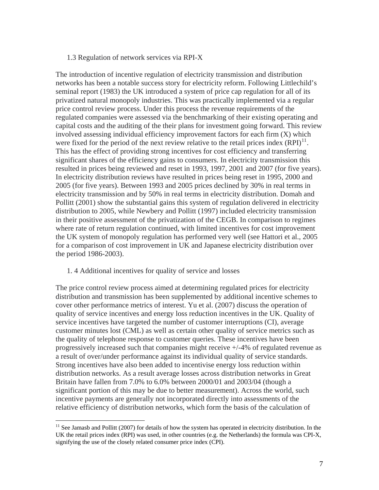### 1.3 Regulation of network services via RPI-X

The introduction of incentive regulation of electricity transmission and distribution networks has been a notable success story for electricity reform. Following Littlechild's seminal report (1983) the UK introduced a system of price cap regulation for all of its privatized natural monopoly industries. This was practically implemented via a regular price control review process. Under this process the revenue requirements of the regulated companies were assessed via the benchmarking of their existing operating and capital costs and the auditing of the their plans for investment going forward. This review involved assessing individual efficiency improvement factors for each firm (X) which were fixed for the period of the next review relative to the retail prices index  $(RPI)^{11}$  $(RPI)^{11}$  $(RPI)^{11}$ . This has the effect of providing strong incentives for cost efficiency and transferring significant shares of the efficiency gains to consumers. In electricity transmission this resulted in prices being reviewed and reset in 1993, 1997, 2001 and 2007 (for five years). In electricity distribution reviews have resulted in prices being reset in 1995, 2000 and 2005 (for five years). Between 1993 and 2005 prices declined by 30% in real terms in electricity transmission and by 50% in real terms in electricity distribution. Domah and Pollitt (2001) show the substantial gains this system of regulation delivered in electricity distribution to 2005, while Newbery and Pollitt (1997) included electricity transmission in their positive assessment of the privatization of the CEGB. In comparison to regimes where rate of return regulation continued, with limited incentives for cost improvement the UK system of monopoly regulation has performed very well (see Hattori et al., 2005 for a comparison of cost improvement in UK and Japanese electricity distribution over the period 1986-2003).

#### 1. 4 Additional incentives for quality of service and losses

 $\overline{a}$ 

The price control review process aimed at determining regulated prices for electricity distribution and transmission has been supplemented by additional incentive schemes to cover other performance metrics of interest. Yu et al. (2007) discuss the operation of quality of service incentives and energy loss reduction incentives in the UK. Quality of service incentives have targeted the number of customer interruptions (CI), average customer minutes lost (CML) as well as certain other quality of service metrics such as the quality of telephone response to customer queries. These incentives have been progressively increased such that companies might receive +/-4% of regulated revenue as a result of over/under performance against its individual quality of service standards. Strong incentives have also been added to incentivise energy loss reduction within distribution networks. As a result average losses across distribution networks in Great Britain have fallen from 7.0% to 6.0% between 2000/01 and 2003/04 (though a significant portion of this may be due to better measurement). Across the world, such incentive payments are generally not incorporated directly into assessments of the relative efficiency of distribution networks, which form the basis of the calculation of

<span id="page-7-0"></span> $11$  See Jamasb and Pollitt (2007) for details of how the system has operated in electricity distribution. In the UK the retail prices index (RPI) was used, in other countries (e.g. the Netherlands) the formula was CPI-X, signifying the use of the closely related consumer price index (CPI).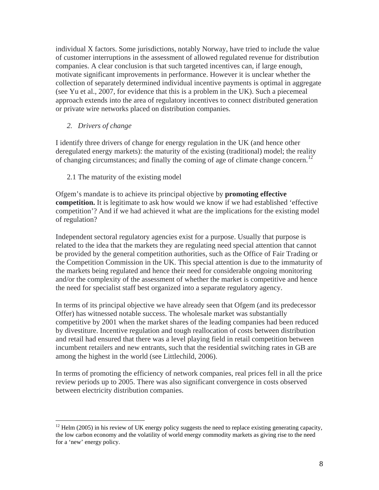individual X factors. Some jurisdictions, notably Norway, have tried to include the value of customer interruptions in the assessment of allowed regulated revenue for distribution companies. A clear conclusion is that such targeted incentives can, if large enough, motivate significant improvements in performance. However it is unclear whether the collection of separately determined individual incentive payments is optimal in aggregate (see Yu et al., 2007, for evidence that this is a problem in the UK). Such a piecemeal approach extends into the area of regulatory incentives to connect distributed generation or private wire networks placed on distribution companies.

## *2. Drivers of change*

 $\overline{a}$ 

I identify three drivers of change for energy regulation in the UK (and hence other deregulated energy markets): the maturity of the existing (traditional) model; the reality of changing circumstances; and finally the coming of age of climate change concern.<sup>[12](#page-8-0)</sup>

2.1 The maturity of the existing model

Ofgem's mandate is to achieve its principal objective by **promoting effective competition.** It is legitimate to ask how would we know if we had established 'effective competition'? And if we had achieved it what are the implications for the existing model of regulation?

Independent sectoral regulatory agencies exist for a purpose. Usually that purpose is related to the idea that the markets they are regulating need special attention that cannot be provided by the general competition authorities, such as the Office of Fair Trading or the Competition Commission in the UK. This special attention is due to the immaturity of the markets being regulated and hence their need for considerable ongoing monitoring and/or the complexity of the assessment of whether the market is competitive and hence the need for specialist staff best organized into a separate regulatory agency.

In terms of its principal objective we have already seen that Ofgem (and its predecessor Offer) has witnessed notable success. The wholesale market was substantially competitive by 2001 when the market shares of the leading companies had been reduced by divestiture. Incentive regulation and tough reallocation of costs between distribution and retail had ensured that there was a level playing field in retail competition between incumbent retailers and new entrants, such that the residential switching rates in GB are among the highest in the world (see Littlechild, 2006).

In terms of promoting the efficiency of network companies, real prices fell in all the price review periods up to 2005. There was also significant convergence in costs observed between electricity distribution companies.

<span id="page-8-0"></span> $12$  Helm (2005) in his review of UK energy policy suggests the need to replace existing generating capacity, the low carbon economy and the volatility of world energy commodity markets as giving rise to the need for a 'new' energy policy.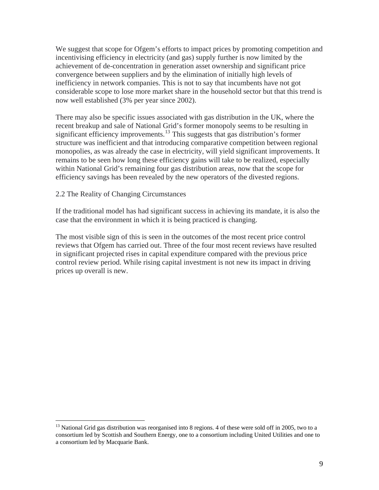We suggest that scope for Ofgem's efforts to impact prices by promoting competition and incentivising efficiency in electricity (and gas) supply further is now limited by the achievement of de-concentration in generation asset ownership and significant price convergence between suppliers and by the elimination of initially high levels of inefficiency in network companies. This is not to say that incumbents have not got considerable scope to lose more market share in the household sector but that this trend is now well established (3% per year since 2002).

There may also be specific issues associated with gas distribution in the UK, where the recent breakup and sale of National Grid's former monopoly seems to be resulting in significant efficiency improvements.<sup>[13](#page-9-0)</sup> This suggests that gas distribution's former structure was inefficient and that introducing comparative competition between regional monopolies, as was already the case in electricity, will yield significant improvements. It remains to be seen how long these efficiency gains will take to be realized, especially within National Grid's remaining four gas distribution areas, now that the scope for efficiency savings has been revealed by the new operators of the divested regions.

## 2.2 The Reality of Changing Circumstances

 $\overline{a}$ 

If the traditional model has had significant success in achieving its mandate, it is also the case that the environment in which it is being practiced is changing.

The most visible sign of this is seen in the outcomes of the most recent price control reviews that Ofgem has carried out. Three of the four most recent reviews have resulted in significant projected rises in capital expenditure compared with the previous price control review period. While rising capital investment is not new its impact in driving prices up overall is new.

<span id="page-9-0"></span><sup>&</sup>lt;sup>13</sup> National Grid gas distribution was reorganised into 8 regions. 4 of these were sold off in 2005, two to a consortium led by Scottish and Southern Energy, one to a consortium including United Utilities and one to a consortium led by Macquarie Bank.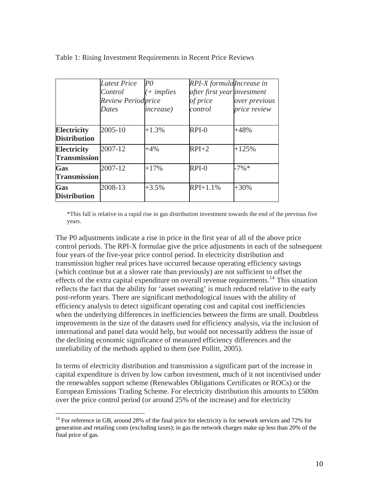|                                           | Latest Price<br>Control<br><b>Review Periodprice</b><br>Dates | $\overline{P}O$<br>$+$ implies<br><i>increase</i> ) | RPI-X formulalncrease in<br>after first year investment<br>of price<br>control | over previous<br>price review |
|-------------------------------------------|---------------------------------------------------------------|-----------------------------------------------------|--------------------------------------------------------------------------------|-------------------------------|
| <b>Electricity</b><br><b>Distribution</b> | 2005-10                                                       | $+1.3%$                                             | $RPI-0$                                                                        | $+48%$                        |
| <b>Electricity</b><br><b>Transmission</b> | 2007-12                                                       | $+4\%$                                              | $RPI+2$                                                                        | $+125%$                       |
| Gas<br><b>Transmission</b>                | 2007-12                                                       | $+17%$                                              | $RPI-0$                                                                        | $-7\%*$                       |
| Gas<br><b>Distribution</b>                | 2008-13                                                       | $+3.5%$                                             | $RPI+1.1%$                                                                     | $+30%$                        |

Table 1: Rising Investment Requirements in Recent Price Reviews

\*This fall is relative to a rapid rise in gas distribution investment towards the end of the previous five years.

The P0 adjustments indicate a rise in price in the first year of all of the above price control periods. The RPI-X formulae give the price adjustments in each of the subsequent four years of the five-year price control period. In electricity distribution and transmission higher real prices have occurred because operating efficiency savings (which continue but at a slower rate than previously) are not sufficient to offset the effects of the extra capital expenditure on overall revenue requirements.<sup>[14](#page-10-0)</sup> This situation reflects the fact that the ability for 'asset sweating' is much reduced relative to the early post-reform years. There are significant methodological issues with the ability of efficiency analysis to detect significant operating cost and capital cost inefficiencies when the underlying differences in inefficiencies between the firms are small. Doubtless improvements in the size of the datasets used for efficiency analysis, via the inclusion of international and panel data would help, but would not necessarily address the issue of the declining economic significance of measured efficiency differences and the unreliability of the methods applied to them (see Pollitt, 2005).

In terms of electricity distribution and transmission a significant part of the increase in capital expenditure is driven by low carbon investment, much of it not incentivised under the renewables support scheme (Renewables Obligations Certificates or ROCs) or the European Emissions Trading Scheme. For electricity distribution this amounts to £500m over the price control period (or around 25% of the increase) and for electricity

<span id="page-10-0"></span> $14$  For reference in GB, around 28% of the final price for electricity is for network services and 72% for generation and retailing costs (excluding taxes); in gas the network charges make up less than 20% of the final price of gas.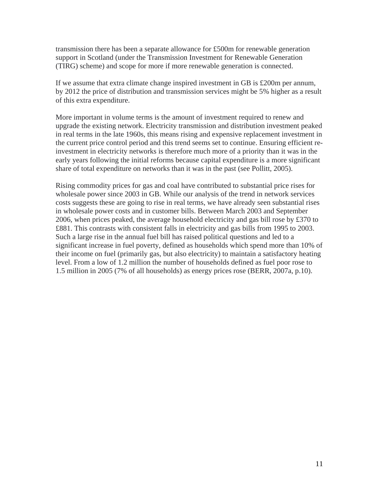transmission there has been a separate allowance for £500m for renewable generation support in Scotland (under the Transmission Investment for Renewable Generation (TIRG) scheme) and scope for more if more renewable generation is connected.

If we assume that extra climate change inspired investment in GB is £200m per annum, by 2012 the price of distribution and transmission services might be 5% higher as a result of this extra expenditure.

More important in volume terms is the amount of investment required to renew and upgrade the existing network. Electricity transmission and distribution investment peaked in real terms in the late 1960s, this means rising and expensive replacement investment in the current price control period and this trend seems set to continue. Ensuring efficient reinvestment in electricity networks is therefore much more of a priority than it was in the early years following the initial reforms because capital expenditure is a more significant share of total expenditure on networks than it was in the past (see Pollitt, 2005).

Rising commodity prices for gas and coal have contributed to substantial price rises for wholesale power since 2003 in GB. While our analysis of the trend in network services costs suggests these are going to rise in real terms, we have already seen substantial rises in wholesale power costs and in customer bills. Between March 2003 and September 2006, when prices peaked, the average household electricity and gas bill rose by £370 to £881. This contrasts with consistent falls in electricity and gas bills from 1995 to 2003. Such a large rise in the annual fuel bill has raised political questions and led to a significant increase in fuel poverty, defined as households which spend more than 10% of their income on fuel (primarily gas, but also electricity) to maintain a satisfactory heating level. From a low of 1.2 million the number of households defined as fuel poor rose to 1.5 million in 2005 (7% of all households) as energy prices rose (BERR, 2007a, p.10).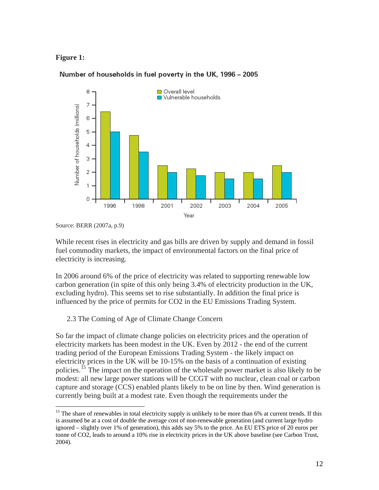## **Figure 1:**



## Number of households in fuel poverty in the UK, 1996 - 2005

 $\overline{a}$ 

While recent rises in electricity and gas bills are driven by supply and demand in fossil fuel commodity markets, the impact of environmental factors on the final price of electricity is increasing.

In 2006 around 6% of the price of electricity was related to supporting renewable low carbon generation (in spite of this only being 3.4% of electricity production in the UK, excluding hydro). This seems set to rise substantially. In addition the final price is influenced by the price of permits for CO2 in the EU Emissions Trading System.

# 2.3 The Coming of Age of Climate Change Concern

So far the impact of climate change policies on electricity prices and the operation of electricity markets has been modest in the UK. Even by 2012 - the end of the current trading period of the European Emissions Trading System - the likely impact on electricity prices in the UK will be 10-15% on the basis of a continuation of existing policies.<sup>[15](#page-12-0)</sup> The impact on the operation of the wholesale power market is also likely to be modest: all new large power stations will be CCGT with no nuclear, clean coal or carbon capture and storage (CCS) enabled plants likely to be on line by then. Wind generation is currently being built at a modest rate. Even though the requirements under the

Source: BERR (2007a, p.9)

<span id="page-12-0"></span><sup>&</sup>lt;sup>15</sup> The share of renewables in total electricity supply is unlikely to be more than 6% at current trends. If this is assumed be at a cost of double the average cost of non-renewable generation (and current large hydro ignored – slightly over 1% of generation), this adds say 5% to the price. An EU ETS price of 20 euros per tonne of CO2, leads to around a 10% rise in electricity prices in the UK above baseline (see Carbon Trust, 2004).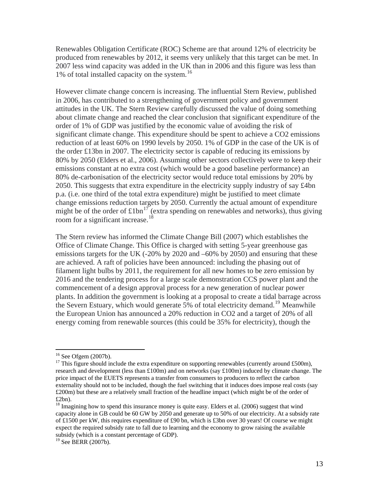Renewables Obligation Certificate (ROC) Scheme are that around 12% of electricity be produced from renewables by 2012, it seems very unlikely that this target can be met. In 2007 less wind capacity was added in the UK than in 2006 and this figure was less than 1% of total installed capacity on the system.<sup>[16](#page-13-0)</sup>

However climate change concern is increasing. The influential Stern Review, published in 2006, has contributed to a strengthening of government policy and government attitudes in the UK. The Stern Review carefully discussed the value of doing something about climate change and reached the clear conclusion that significant expenditure of the order of 1% of GDP was justified by the economic value of avoiding the risk of significant climate change. This expenditure should be spent to achieve a CO2 emissions reduction of at least 60% on 1990 levels by 2050. 1% of GDP in the case of the UK is of the order £13bn in 2007. The electricity sector is capable of reducing its emissions by 80% by 2050 (Elders et al., 2006). Assuming other sectors collectively were to keep their emissions constant at no extra cost (which would be a good baseline performance) an 80% de-carbonisation of the electricity sector would reduce total emissions by 20% by 2050. This suggests that extra expenditure in the electricity supply industry of say  $\pounds 4$ bn p.a. (i.e. one third of the total extra expenditure) might be justified to meet climate change emissions reduction targets by 2050. Currently the actual amount of expenditure might be of the order of  $\text{\textsterling}1bn^{17}$  $\text{\textsterling}1bn^{17}$  $\text{\textsterling}1bn^{17}$  (extra spending on renewables and networks), thus giving room for a significant increase.<sup>[18](#page-13-2)</sup>

The Stern review has informed the Climate Change Bill (2007) which establishes the Office of Climate Change. This Office is charged with setting 5-year greenhouse gas emissions targets for the UK (-20% by 2020 and –60% by 2050) and ensuring that these are achieved. A raft of policies have been announced: including the phasing out of filament light bulbs by 2011, the requirement for all new homes to be zero emission by 2016 and the tendering process for a large scale demonstration CCS power plant and the commencement of a design approval process for a new generation of nuclear power plants. In addition the government is looking at a proposal to create a tidal barrage across the Severn Estuary, which would generate 5% of total electricity demand.<sup>[19](#page-13-3)</sup> Meanwhile the European Union has announced a 20% reduction in CO2 and a target of 20% of all energy coming from renewable sources (this could be 35% for electricity), though the

<sup>&</sup>lt;sup>16</sup> See Ofgem (2007b).

<span id="page-13-1"></span><span id="page-13-0"></span> $17$  This figure should include the extra expenditure on supporting renewables (currently around £500m), research and development (less than  $£100m$ ) and on networks (say  $£100m$ ) induced by climate change. The price impact of the EUETS represents a transfer from consumers to producers to reflect the carbon externality should not to be included, though the fuel switching that it induces does impose real costs (say £200m) but these are a relatively small fraction of the headline impact (which might be of the order of  $£2bn)$ .

<span id="page-13-2"></span><sup>&</sup>lt;sup>18</sup> Imagining how to spend this insurance money is quite easy. Elders et al. (2006) suggest that wind capacity alone in GB could be 60 GW by 2050 and generate up to 50% of our electricity. At a subsidy rate of £1500 per kW, this requires expenditure of £90 bn, which is £3bn over 30 years! Of course we might expect the required subsidy rate to fall due to learning and the economy to grow raising the available subsidy (which is a constant percentage of GDP).

<span id="page-13-3"></span><sup>&</sup>lt;sup>19</sup> See BERR (2007b).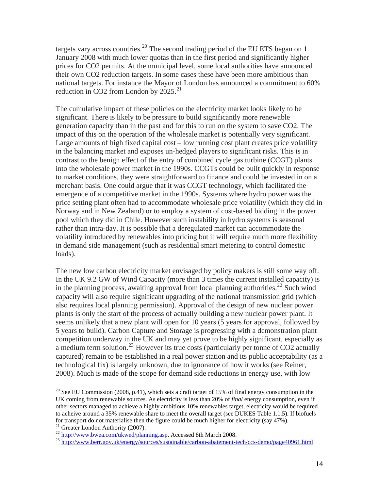targets vary across countries.<sup>[20](#page-14-0)</sup> The second trading period of the EU ETS began on 1 January 2008 with much lower quotas than in the first period and significantly higher prices for CO2 permits. At the municipal level, some local authorities have announced their own CO2 reduction targets. In some cases these have been more ambitious than national targets. For instance the Mayor of London has announced a commitment to 60% reduction in CO2 from London by  $2025.^{21}$  $2025.^{21}$  $2025.^{21}$ 

The cumulative impact of these policies on the electricity market looks likely to be significant. There is likely to be pressure to build significantly more renewable generation capacity than in the past and for this to run on the system to save CO2. The impact of this on the operation of the wholesale market is potentially very significant. Large amounts of high fixed capital cost – low running cost plant creates price volatility in the balancing market and exposes un-hedged players to significant risks. This is in contrast to the benign effect of the entry of combined cycle gas turbine (CCGT) plants into the wholesale power market in the 1990s. CCGTs could be built quickly in response to market conditions, they were straightforward to finance and could be invested in on a merchant basis. One could argue that it was CCGT technology, which facilitated the emergence of a competitive market in the 1990s. Systems where hydro power was the price setting plant often had to accommodate wholesale price volatility (which they did in Norway and in New Zealand) or to employ a system of cost-based bidding in the power pool which they did in Chile. However such instability in hydro systems is seasonal rather than intra-day. It is possible that a deregulated market can accommodate the volatility introduced by renewables into pricing but it will require much more flexibility in demand side management (such as residential smart metering to control domestic loads).

The new low carbon electricity market envisaged by policy makers is still some way off. In the UK 9.2 GW of Wind Capacity (more than 3 times the current installed capacity) is in the planning process, awaiting approval from local planning authorities.<sup>[22](#page-14-2)</sup> Such wind capacity will also require significant upgrading of the national transmission grid (which also requires local planning permission). Approval of the design of new nuclear power plants is only the start of the process of actually building a new nuclear power plant. It seems unlikely that a new plant will open for 10 years (5 years for approval, followed by 5 years to build). Carbon Capture and Storage is progressing with a demonstration plant competition underway in the UK and may yet prove to be highly significant, especially as a medium term solution.<sup>[23](#page-14-3)</sup> However its true costs (particularly per tonne of CO2 actually captured) remain to be established in a real power station and its public acceptability (as a technological fix) is largely unknown, due to ignorance of how it works (see Reiner, 2008). Much is made of the scope for demand side reductions in energy use, with low

<span id="page-14-0"></span><sup>&</sup>lt;sup>20</sup> See EU Commission (2008, p.41), which sets a draft target of 15% of final energy consumption in the UK coming from renewable sources. As electricity is less than 20% of *final* energy consumption, even if other sectors managed to achieve a highly ambitious 10% renewables target, electricity would be required to acheive around a 35% renewable share to meet the overall target (see DUKES Table 1.1.5). If biofuels for transport do not materialise then the figure could be much higher for electricity (say 47%).<br><sup>21</sup> Greater London Authority (2007).

<span id="page-14-3"></span><span id="page-14-2"></span><span id="page-14-1"></span><sup>22</sup> [http://www.bwea.com/ukwed/planning.asp.](http://www.bwea.com/ukwed/planning.asp) Accessed 8th March 2008.<br>
<sup>23</sup> <http://www.berr.gov.uk/energy/sources/sustainable/carbon-abatement-tech/ccs-demo/page40961.html>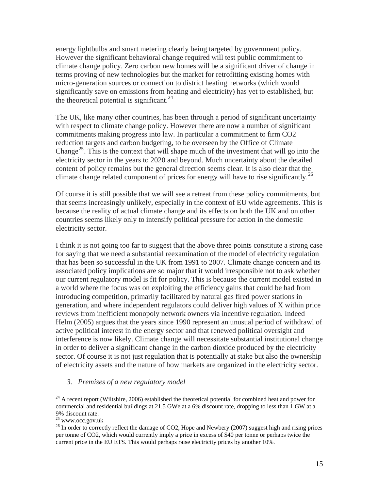energy lightbulbs and smart metering clearly being targeted by government policy. However the significant behavioral change required will test public commitment to climate change policy. Zero carbon new homes will be a significant driver of change in terms proving of new technologies but the market for retrofitting existing homes with micro-generation sources or connection to district heating networks (which would significantly save on emissions from heating and electricity) has yet to established, but the theoretical potential is significant.<sup>[24](#page-15-0)</sup>

The UK, like many other countries, has been through a period of significant uncertainty with respect to climate change policy. However there are now a number of significant commitments making progress into law. In particular a commitment to firm CO2 reduction targets and carbon budgeting, to be overseen by the Office of Climate Change<sup>[25](#page-15-1)</sup>. This is the context that will shape much of the investment that will go into the electricity sector in the years to 2020 and beyond. Much uncertainty about the detailed content of policy remains but the general direction seems clear. It is also clear that the climate change related component of prices for energy will have to rise significantly.<sup>[26](#page-15-2)</sup>

Of course it is still possible that we will see a retreat from these policy commitments, but that seems increasingly unlikely, especially in the context of EU wide agreements. This is because the reality of actual climate change and its effects on both the UK and on other countries seems likely only to intensify political pressure for action in the domestic electricity sector.

I think it is not going too far to suggest that the above three points constitute a strong case for saying that we need a substantial reexamination of the model of electricity regulation that has been so successful in the UK from 1991 to 2007. Climate change concern and its associated policy implications are so major that it would irresponsible not to ask whether our current regulatory model is fit for policy. This is because the current model existed in a world where the focus was on exploiting the efficiency gains that could be had from introducing competition, primarily facilitated by natural gas fired power stations in generation, and where independent regulators could deliver high values of X within price reviews from inefficient monopoly network owners via incentive regulation. Indeed Helm (2005) argues that the years since 1990 represent an unusual period of withdrawl of active political interest in the energy sector and that renewed political oversight and interference is now likely. Climate change will necessitate substantial institutional change in order to deliver a significant change in the carbon dioxide produced by the electricity sector. Of course it is not just regulation that is potentially at stake but also the ownership of electricity assets and the nature of how markets are organized in the electricity sector.

*3. Premises of a new regulatory model* 

<span id="page-15-0"></span> $^{24}$  A recent report (Wiltshire, 2006) established the theoretical potential for combined heat and power for commercial and residential buildings at 21.5 GWe at a 6% discount rate, dropping to less than 1 GW at a 9% discount rate.

<span id="page-15-1"></span> $^{25}$  www.occ.gov.uk

<span id="page-15-2"></span><sup>&</sup>lt;sup>26</sup> In order to correctly reflect the damage of CO2, Hope and Newbery (2007) suggest high and rising prices per tonne of CO2, which would currently imply a price in excess of \$40 per tonne or perhaps twice the current price in the EU ETS. This would perhaps raise electricity prices by another 10%.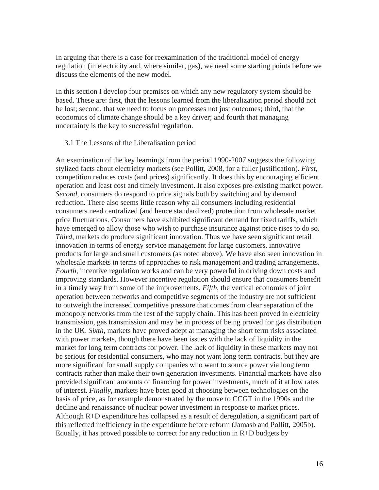In arguing that there is a case for reexamination of the traditional model of energy regulation (in electricity and, where similar, gas), we need some starting points before we discuss the elements of the new model.

In this section I develop four premises on which any new regulatory system should be based. These are: first, that the lessons learned from the liberalization period should not be lost; second, that we need to focus on processes not just outcomes; third, that the economics of climate change should be a key driver; and fourth that managing uncertainty is the key to successful regulation.

## 3.1 The Lessons of the Liberalisation period

An examination of the key learnings from the period 1990-2007 suggests the following stylized facts about electricity markets (see Pollitt, 2008, for a fuller justification). *First*, competition reduces costs (and prices) significantly. It does this by encouraging efficient operation and least cost and timely investment. It also exposes pre-existing market power. *Second*, consumers do respond to price signals both by switching and by demand reduction. There also seems little reason why all consumers including residential consumers need centralized (and hence standardized) protection from wholesale market price fluctuations. Consumers have exhibited significant demand for fixed tariffs, which have emerged to allow those who wish to purchase insurance against price rises to do so. *Third*, markets do produce significant innovation. Thus we have seen significant retail innovation in terms of energy service management for large customers, innovative products for large and small customers (as noted above). We have also seen innovation in wholesale markets in terms of approaches to risk management and trading arrangements. *Fourth*, incentive regulation works and can be very powerful in driving down costs and improving standards. However incentive regulation should ensure that consumers benefit in a timely way from some of the improvements. *Fifth*, the vertical economies of joint operation between networks and competitive segments of the industry are not sufficient to outweigh the increased competitive pressure that comes from clear separation of the monopoly networks from the rest of the supply chain. This has been proved in electricity transmission, gas transmission and may be in process of being proved for gas distribution in the UK. *Sixth*, markets have proved adept at managing the short term risks associated with power markets, though there have been issues with the lack of liquidity in the market for long term contracts for power. The lack of liquidity in these markets may not be serious for residential consumers, who may not want long term contracts, but they are more significant for small supply companies who want to source power via long term contracts rather than make their own generation investments. Financial markets have also provided significant amounts of financing for power investments, much of it at low rates of interest. *Finally*, markets have been good at choosing between technologies on the basis of price, as for example demonstrated by the move to CCGT in the 1990s and the decline and renaissance of nuclear power investment in response to market prices. Although R+D expenditure has collapsed as a result of deregulation, a significant part of this reflected inefficiency in the expenditure before reform (Jamasb and Pollitt, 2005b). Equally, it has proved possible to correct for any reduction in  $R+D$  budgets by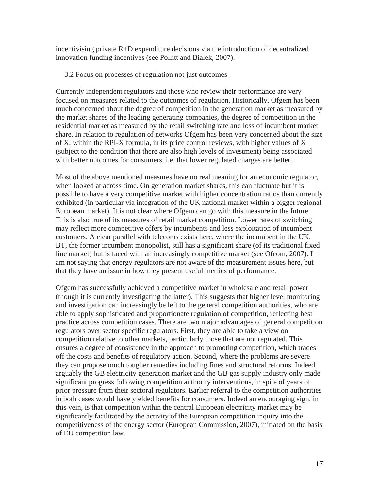incentivising private R+D expenditure decisions via the introduction of decentralized innovation funding incentives (see Pollitt and Bialek, 2007).

3.2 Focus on processes of regulation not just outcomes

Currently independent regulators and those who review their performance are very focused on measures related to the outcomes of regulation. Historically, Ofgem has been much concerned about the degree of competition in the generation market as measured by the market shares of the leading generating companies, the degree of competition in the residential market as measured by the retail switching rate and loss of incumbent market share. In relation to regulation of networks Ofgem has been very concerned about the size of X, within the RPI-X formula, in its price control reviews, with higher values of X (subject to the condition that there are also high levels of investment) being associated with better outcomes for consumers, i.e. that lower regulated charges are better.

Most of the above mentioned measures have no real meaning for an economic regulator, when looked at across time. On generation market shares, this can fluctuate but it is possible to have a very competitive market with higher concentration ratios than currently exhibited (in particular via integration of the UK national market within a bigger regional European market). It is not clear where Ofgem can go with this measure in the future. This is also true of its measures of retail market competition. Lower rates of switching may reflect more competitive offers by incumbents and less exploitation of incumbent customers. A clear parallel with telecoms exists here, where the incumbent in the UK, BT, the former incumbent monopolist, still has a significant share (of its traditional fixed line market) but is faced with an increasingly competitive market (see Ofcom, 2007). I am not saying that energy regulators are not aware of the measurement issues here, but that they have an issue in how they present useful metrics of performance.

Ofgem has successfully achieved a competitive market in wholesale and retail power (though it is currently investigating the latter). This suggests that higher level monitoring and investigation can increasingly be left to the general competition authorities, who are able to apply sophisticated and proportionate regulation of competition, reflecting best practice across competition cases. There are two major advantages of general competition regulators over sector specific regulators. First, they are able to take a view on competition relative to other markets, particularly those that are not regulated. This ensures a degree of consistency in the approach to promoting competition, which trades off the costs and benefits of regulatory action. Second, where the problems are severe they can propose much tougher remedies including fines and structural reforms. Indeed arguably the GB electricity generation market and the GB gas supply industry only made significant progress following competition authority interventions, in spite of years of prior pressure from their sectoral regulators. Earlier referral to the competition authorities in both cases would have yielded benefits for consumers. Indeed an encouraging sign, in this vein, is that competition within the central European electricity market may be significantly facilitated by the activity of the European competition inquiry into the competitiveness of the energy sector (European Commission, 2007), initiated on the basis of EU competition law.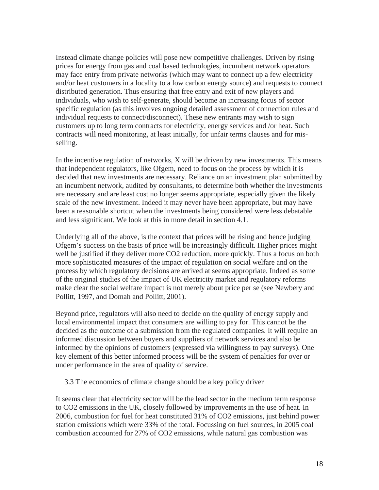Instead climate change policies will pose new competitive challenges. Driven by rising prices for energy from gas and coal based technologies, incumbent network operators may face entry from private networks (which may want to connect up a few electricity and/or heat customers in a locality to a low carbon energy source) and requests to connect distributed generation. Thus ensuring that free entry and exit of new players and individuals, who wish to self-generate, should become an increasing focus of sector specific regulation (as this involves ongoing detailed assessment of connection rules and individual requests to connect/disconnect). These new entrants may wish to sign customers up to long term contracts for electricity, energy services and /or heat. Such contracts will need monitoring, at least initially, for unfair terms clauses and for misselling.

In the incentive regulation of networks, X will be driven by new investments. This means that independent regulators, like Ofgem, need to focus on the process by which it is decided that new investments are necessary. Reliance on an investment plan submitted by an incumbent network, audited by consultants, to determine both whether the investments are necessary and are least cost no longer seems appropriate, especially given the likely scale of the new investment. Indeed it may never have been appropriate, but may have been a reasonable shortcut when the investments being considered were less debatable and less significant. We look at this in more detail in section 4.1.

Underlying all of the above, is the context that prices will be rising and hence judging Ofgem's success on the basis of price will be increasingly difficult. Higher prices might well be justified if they deliver more CO2 reduction, more quickly. Thus a focus on both more sophisticated measures of the impact of regulation on social welfare and on the process by which regulatory decisions are arrived at seems appropriate. Indeed as some of the original studies of the impact of UK electricity market and regulatory reforms make clear the social welfare impact is not merely about price per se (see Newbery and Pollitt, 1997, and Domah and Pollitt, 2001).

Beyond price, regulators will also need to decide on the quality of energy supply and local environmental impact that consumers are willing to pay for. This cannot be the decided as the outcome of a submission from the regulated companies. It will require an informed discussion between buyers and suppliers of network services and also be informed by the opinions of customers (expressed via willingness to pay surveys). One key element of this better informed process will be the system of penalties for over or under performance in the area of quality of service.

3.3 The economics of climate change should be a key policy driver

It seems clear that electricity sector will be the lead sector in the medium term response to CO2 emissions in the UK, closely followed by improvements in the use of heat. In 2006, combustion for fuel for heat constituted 31% of CO2 emissions, just behind power station emissions which were 33% of the total. Focussing on fuel sources, in 2005 coal combustion accounted for 27% of CO2 emissions, while natural gas combustion was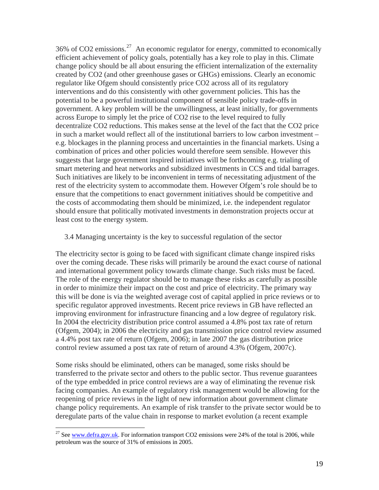36% of CO2 emissions.<sup>[27](#page-19-0)</sup> An economic regulator for energy, committed to economically efficient achievement of policy goals, potentially has a key role to play in this. Climate change policy should be all about ensuring the efficient internalization of the externality created by CO2 (and other greenhouse gases or GHGs) emissions. Clearly an economic regulator like Ofgem should consistently price CO2 across all of its regulatory interventions and do this consistently with other government policies. This has the potential to be a powerful institutional component of sensible policy trade-offs in government. A key problem will be the unwillingness, at least initially, for governments across Europe to simply let the price of CO2 rise to the level required to fully decentralize CO2 reductions. This makes sense at the level of the fact that the CO2 price in such a market would reflect all of the institutional barriers to low carbon investment – e.g. blockages in the planning process and uncertainties in the financial markets. Using a combination of prices and other policies would therefore seem sensible. However this suggests that large government inspired initiatives will be forthcoming e.g. trialing of smart metering and heat networks and subsidized investments in CCS and tidal barrages. Such initiatives are likely to be inconvenient in terms of necessitating adjustment of the rest of the electricity system to accommodate them. However Ofgem's role should be to ensure that the competitions to enact government initiatives should be competitive and the costs of accommodating them should be minimized, i.e. the independent regulator should ensure that politically motivated investments in demonstration projects occur at least cost to the energy system.

## 3.4 Managing uncertainty is the key to successful regulation of the sector

The electricity sector is going to be faced with significant climate change inspired risks over the coming decade. These risks will primarily be around the exact course of national and international government policy towards climate change. Such risks must be faced. The role of the energy regulator should be to manage these risks as carefully as possible in order to minimize their impact on the cost and price of electricity. The primary way this will be done is via the weighted average cost of capital applied in price reviews or to specific regulator approved investments. Recent price reviews in GB have reflected an improving environment for infrastructure financing and a low degree of regulatory risk. In 2004 the electricity distribution price control assumed a 4.8% post tax rate of return (Ofgem, 2004); in 2006 the electricity and gas transmission price control review assumed a 4.4% post tax rate of return (Ofgem, 2006); in late 2007 the gas distribution price control review assumed a post tax rate of return of around 4.3% (Ofgem, 2007c).

Some risks should be eliminated, others can be managed, some risks should be transferred to the private sector and others to the public sector. Thus revenue guarantees of the type embedded in price control reviews are a way of eliminating the revenue risk facing companies. An example of regulatory risk management would be allowing for the reopening of price reviews in the light of new information about government climate change policy requirements. An example of risk transfer to the private sector would be to deregulate parts of the value chain in response to market evolution (a recent example

<span id="page-19-0"></span><sup>&</sup>lt;sup>27</sup> See [www.defra.gov.uk.](http://www.defra.gov.uk/) For information transport CO2 emissions were 24% of the total is 2006, while petroleum was the source of 31% of emissions in 2005.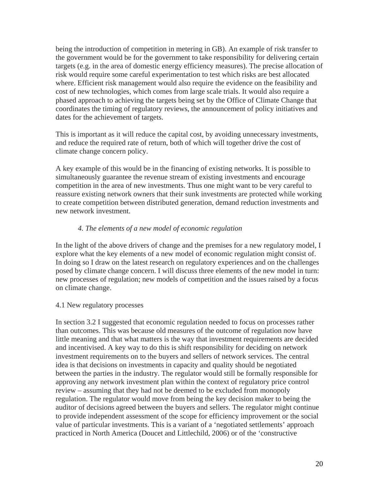being the introduction of competition in metering in GB). An example of risk transfer to the government would be for the government to take responsibility for delivering certain targets (e.g. in the area of domestic energy efficiency measures). The precise allocation of risk would require some careful experimentation to test which risks are best allocated where. Efficient risk management would also require the evidence on the feasibility and cost of new technologies, which comes from large scale trials. It would also require a phased approach to achieving the targets being set by the Office of Climate Change that coordinates the timing of regulatory reviews, the announcement of policy initiatives and dates for the achievement of targets.

This is important as it will reduce the capital cost, by avoiding unnecessary investments, and reduce the required rate of return, both of which will together drive the cost of climate change concern policy.

A key example of this would be in the financing of existing networks. It is possible to simultaneously guarantee the revenue stream of existing investments and encourage competition in the area of new investments. Thus one might want to be very careful to reassure existing network owners that their sunk investments are protected while working to create competition between distributed generation, demand reduction investments and new network investment.

# *4. The elements of a new model of economic regulation*

In the light of the above drivers of change and the premises for a new regulatory model, I explore what the key elements of a new model of economic regulation might consist of. In doing so I draw on the latest research on regulatory experiences and on the challenges posed by climate change concern. I will discuss three elements of the new model in turn: new processes of regulation; new models of competition and the issues raised by a focus on climate change.

## 4.1 New regulatory processes

In section 3.2 I suggested that economic regulation needed to focus on processes rather than outcomes. This was because old measures of the outcome of regulation now have little meaning and that what matters is the way that investment requirements are decided and incentivised. A key way to do this is shift responsibility for deciding on network investment requirements on to the buyers and sellers of network services. The central idea is that decisions on investments in capacity and quality should be negotiated between the parties in the industry. The regulator would still be formally responsible for approving any network investment plan within the context of regulatory price control review – assuming that they had not be deemed to be excluded from monopoly regulation. The regulator would move from being the key decision maker to being the auditor of decisions agreed between the buyers and sellers. The regulator might continue to provide independent assessment of the scope for efficiency improvement or the social value of particular investments. This is a variant of a 'negotiated settlements' approach practiced in North America (Doucet and Littlechild, 2006) or of the 'constructive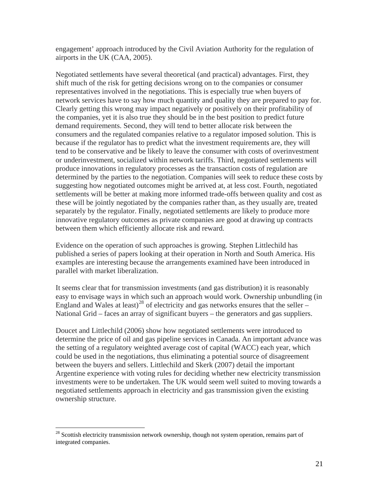engagement' approach introduced by the Civil Aviation Authority for the regulation of airports in the UK (CAA, 2005).

Negotiated settlements have several theoretical (and practical) advantages. First, they shift much of the risk for getting decisions wrong on to the companies or consumer representatives involved in the negotiations. This is especially true when buyers of network services have to say how much quantity and quality they are prepared to pay for. Clearly getting this wrong may impact negatively or positively on their profitability of the companies, yet it is also true they should be in the best position to predict future demand requirements. Second, they will tend to better allocate risk between the consumers and the regulated companies relative to a regulator imposed solution. This is because if the regulator has to predict what the investment requirements are, they will tend to be conservative and be likely to leave the consumer with costs of overinvestment or underinvestment, socialized within network tariffs. Third, negotiated settlements will produce innovations in regulatory processes as the transaction costs of regulation are determined by the parties to the negotiation. Companies will seek to reduce these costs by suggesting how negotiated outcomes might be arrived at, at less cost. Fourth, negotiated settlements will be better at making more informed trade-offs between quality and cost as these will be jointly negotiated by the companies rather than, as they usually are, treated separately by the regulator. Finally, negotiated settlements are likely to produce more innovative regulatory outcomes as private companies are good at drawing up contracts between them which efficiently allocate risk and reward.

Evidence on the operation of such approaches is growing. Stephen Littlechild has published a series of papers looking at their operation in North and South America. His examples are interesting because the arrangements examined have been introduced in parallel with market liberalization.

It seems clear that for transmission investments (and gas distribution) it is reasonably easy to envisage ways in which such an approach would work. Ownership unbundling (in England and Wales at least)<sup>[28](#page-21-0)</sup> of electricity and gas networks ensures that the seller – National Grid – faces an array of significant buyers – the generators and gas suppliers.

Doucet and Littlechild (2006) show how negotiated settlements were introduced to determine the price of oil and gas pipeline services in Canada. An important advance was the setting of a regulatory weighted average cost of capital (WACC) each year, which could be used in the negotiations, thus eliminating a potential source of disagreement between the buyers and sellers. Littlechild and Skerk (2007) detail the important Argentine experience with voting rules for deciding whether new electricity transmission investments were to be undertaken. The UK would seem well suited to moving towards a negotiated settlements approach in electricity and gas transmission given the existing ownership structure.

<span id="page-21-0"></span><sup>&</sup>lt;sup>28</sup> Scottish electricity transmission network ownership, though not system operation, remains part of integrated companies.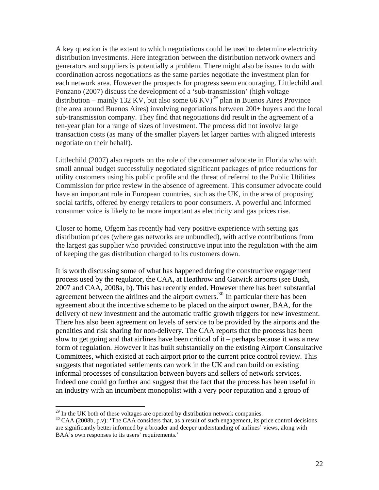A key question is the extent to which negotiations could be used to determine electricity distribution investments. Here integration between the distribution network owners and generators and suppliers is potentially a problem. There might also be issues to do with coordination across negotiations as the same parties negotiate the investment plan for each network area. However the prospects for progress seem encouraging. Littlechild and Ponzano (2007) discuss the development of a 'sub-transmission' (high voltage distribution – mainly 132 KV, but also some 66 KV)<sup>[29](#page-22-0)</sup> plan in Buenos Aires Province (the area around Buenos Aires) involving negotiations between 200+ buyers and the local sub-transmission company. They find that negotiations did result in the agreement of a ten-year plan for a range of sizes of investment. The process did not involve large transaction costs (as many of the smaller players let larger parties with aligned interests negotiate on their behalf).

Littlechild (2007) also reports on the role of the consumer advocate in Florida who with small annual budget successfully negotiated significant packages of price reductions for utility customers using his public profile and the threat of referral to the Public Utilities Commission for price review in the absence of agreement. This consumer advocate could have an important role in European countries, such as the UK, in the area of proposing social tariffs, offered by energy retailers to poor consumers. A powerful and informed consumer voice is likely to be more important as electricity and gas prices rise.

Closer to home, Ofgem has recently had very positive experience with setting gas distribution prices (where gas networks are unbundled), with active contributions from the largest gas supplier who provided constructive input into the regulation with the aim of keeping the gas distribution charged to its customers down.

It is worth discussing some of what has happened during the constructive engagement process used by the regulator, the CAA, at Heathrow and Gatwick airports (see Bush, 2007 and CAA, 2008a, b). This has recently ended. However there has been substantial agreement between the airlines and the airport owners.<sup>[30](#page-22-1)</sup> In particular there has been agreement about the incentive scheme to be placed on the airport owner, BAA, for the delivery of new investment and the automatic traffic growth triggers for new investment. There has also been agreement on levels of service to be provided by the airports and the penalties and risk sharing for non-delivery. The CAA reports that the process has been slow to get going and that airlines have been critical of it – perhaps because it was a new form of regulation. However it has built substantially on the existing Airport Consultative Committees, which existed at each airport prior to the current price control review. This suggests that negotiated settlements can work in the UK and can build on existing informal processes of consultation between buyers and sellers of network services. Indeed one could go further and suggest that the fact that the process has been useful in an industry with an incumbent monopolist with a very poor reputation and a group of

 $^{29}$  In the UK both of these voltages are operated by distribution network companies.

<span id="page-22-1"></span><span id="page-22-0"></span><sup>&</sup>lt;sup>30</sup> CAA (2008b, p.v): 'The CAA considers that, as a result of such engagement, its price control decisions are significantly better informed by a broader and deeper understanding of airlines' views, along with BAA's own responses to its users' requirements.'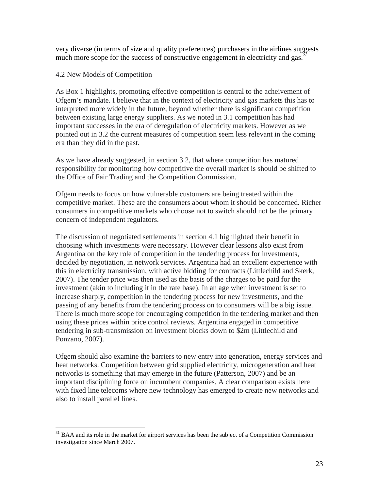very diverse (in terms of size and quality preferences) purchasers in the airlines suggests much more scope for the success of constructive engagement in electricity and gas.<sup>3</sup>

## 4.2 New Models of Competition

1

As Box 1 highlights, promoting effective competition is central to the acheivement of Ofgem's mandate. I believe that in the context of electricity and gas markets this has to interpreted more widely in the future, beyond whether there is significant competition between existing large energy suppliers. As we noted in 3.1 competition has had important successes in the era of deregulation of electricity markets. However as we pointed out in 3.2 the current measures of competition seem less relevant in the coming era than they did in the past.

As we have already suggested, in section 3.2, that where competition has matured responsibility for monitoring how competitive the overall market is should be shifted to the Office of Fair Trading and the Competition Commission.

Ofgem needs to focus on how vulnerable customers are being treated within the competitive market. These are the consumers about whom it should be concerned. Richer consumers in competitive markets who choose not to switch should not be the primary concern of independent regulators.

The discussion of negotiated settlements in section 4.1 highlighted their benefit in choosing which investments were necessary. However clear lessons also exist from Argentina on the key role of competition in the tendering process for investments, decided by negotiation, in network services. Argentina had an excellent experience with this in electricity transmission, with active bidding for contracts (Littlechild and Skerk, 2007). The tender price was then used as the basis of the charges to be paid for the investment (akin to including it in the rate base). In an age when investment is set to increase sharply, competition in the tendering process for new investments, and the passing of any benefits from the tendering process on to consumers will be a big issue. There is much more scope for encouraging competition in the tendering market and then using these prices within price control reviews. Argentina engaged in competitive tendering in sub-transmission on investment blocks down to \$2m (Littlechild and Ponzano, 2007).

Ofgem should also examine the barriers to new entry into generation, energy services and heat networks. Competition between grid supplied electricity, microgeneration and heat networks is something that may emerge in the future (Patterson, 2007) and be an important disciplining force on incumbent companies. A clear comparison exists here with fixed line telecoms where new technology has emerged to create new networks and also to install parallel lines.

<span id="page-23-0"></span> $31$  BAA and its role in the market for airport services has been the subject of a Competition Commission investigation since March 2007.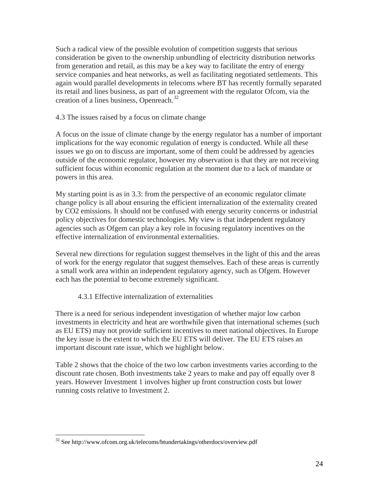Such a radical view of the possible evolution of competition suggests that serious consideration be given to the ownership unbundling of electricity distribution networks from generation and retail, as this may be a key way to facilitate the entry of energy service companies and heat networks, as well as facilitating negotiated settlements. This again would parallel developments in telecoms where BT has recently formally separated its retail and lines business, as part of an agreement with the regulator Ofcom, via the creation of a lines business, Openreach.<sup>[32](#page-24-0)</sup>

4.3 The issues raised by a focus on climate change

A focus on the issue of climate change by the energy regulator has a number of important implications for the way economic regulation of energy is conducted. While all these issues we go on to discuss are important, some of them could be addressed by agencies outside of the economic regulator, however my observation is that they are not receiving sufficient focus within economic regulation at the moment due to a lack of mandate or powers in this area.

My starting point is as in 3.3: from the perspective of an economic regulator climate change policy is all about ensuring the efficient internalization of the externality created by CO2 emissions. It should not be confused with energy security concerns or industrial policy objectives for domestic technologies. My view is that independent regulatory agencies such as Ofgem can play a key role in focusing regulatory incentives on the effective internalization of environmental externalities.

Several new directions for regulation suggest themselves in the light of this and the areas of work for the energy regulator that suggest themselves. Each of these areas is currently a small work area within an independent regulatory agency, such as Ofgem. However each has the potential to become extremely significant.

# 4.3.1 Effective internalization of externalities

There is a need for serious independent investigation of whether major low carbon investments in electricity and heat are worthwhile given that international schemes (such as EU ETS) may not provide sufficient incentives to meet national objectives. In Europe the key issue is the extent to which the EU ETS will deliver. The EU ETS raises an important discount rate issue, which we highlight below.

Table 2 shows that the choice of the two low carbon investments varies according to the discount rate chosen. Both investments take 2 years to make and pay off equally over 8 years. However Investment 1 involves higher up front construction costs but lower running costs relative to Investment 2.

<span id="page-24-0"></span><sup>32</sup> See http://www.ofcom.org.uk/telecoms/btundertakings/otherdocs/overview.pdf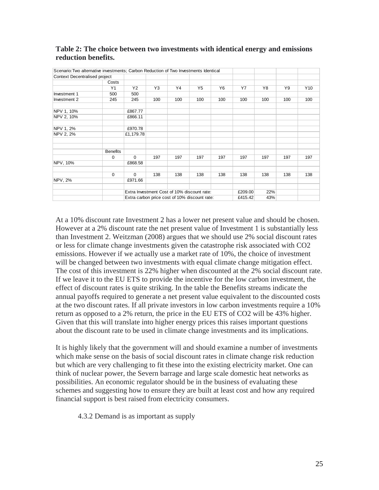| Scenario: Two alternative investments; Carbon Reduction of Two Investments Identical |                 |                                             |     |     |     |                |     |     |     |                 |
|--------------------------------------------------------------------------------------|-----------------|---------------------------------------------|-----|-----|-----|----------------|-----|-----|-----|-----------------|
| Context Decentralised project                                                        |                 |                                             |     |     |     |                |     |     |     |                 |
|                                                                                      | Costs           |                                             |     |     |     |                |     |     |     |                 |
|                                                                                      | Y1              | Y <sub>2</sub>                              | Y3  | Y4  | Y5  | Y <sub>6</sub> | Y7  | Y8  | Y9  | Y <sub>10</sub> |
| Investment 1                                                                         | 500             | 500                                         |     |     |     |                |     |     |     |                 |
| Investment 2                                                                         | 245             | 245                                         | 100 | 100 | 100 | 100            | 100 | 100 | 100 | 100             |
| NPV 1, 10%                                                                           |                 | £867.77                                     |     |     |     |                |     |     |     |                 |
| NPV 2, 10%                                                                           |                 | £866.11                                     |     |     |     |                |     |     |     |                 |
| NPV 1, 2%                                                                            |                 | £970.78                                     |     |     |     |                |     |     |     |                 |
| NPV 2, 2%                                                                            |                 | £1,179.78                                   |     |     |     |                |     |     |     |                 |
|                                                                                      |                 |                                             |     |     |     |                |     |     |     |                 |
|                                                                                      | <b>Benefits</b> |                                             |     |     |     |                |     |     |     |                 |
|                                                                                      | $\mathbf 0$     | $\Omega$                                    | 197 | 197 | 197 | 197            | 197 | 197 | 197 | 197             |
| NPV, 10%                                                                             |                 | £868.58                                     |     |     |     |                |     |     |     |                 |
|                                                                                      | $\mathbf 0$     | $\Omega$                                    | 138 | 138 | 138 | 138            | 138 | 138 | 138 | 138             |
| <b>NPV, 2%</b>                                                                       |                 | £971.66                                     |     |     |     |                |     |     |     |                 |
|                                                                                      |                 | Extra Investment Cost of 10% discount rate: |     |     |     | £209.00        | 22% |     |     |                 |
| Extra carbon price cost of 10% discount rate:                                        |                 |                                             |     |     |     | £415.42        | 43% |     |     |                 |

## **Table 2: The choice between two investments with identical energy and emissions reduction benefits.**

At a 10% discount rate Investment 2 has a lower net present value and should be chosen. However at a 2% discount rate the net present value of Investment 1 is substantially less than Investment 2. Weitzman (2008) argues that we should use 2% social discount rates or less for climate change investments given the catastrophe risk associated with CO2 emissions. However if we actually use a market rate of 10%, the choice of investment will be changed between two investments with equal climate change mitigation effect. The cost of this investment is 22% higher when discounted at the 2% social discount rate. If we leave it to the EU ETS to provide the incentive for the low carbon investment, the effect of discount rates is quite striking. In the table the Benefits streams indicate the annual payoffs required to generate a net present value equivalent to the discounted costs at the two discount rates. If all private investors in low carbon investments require a 10% return as opposed to a 2% return, the price in the EU ETS of CO2 will be 43% higher. Given that this will translate into higher energy prices this raises important questions about the discount rate to be used in climate change investments and its implications.

It is highly likely that the government will and should examine a number of investments which make sense on the basis of social discount rates in climate change risk reduction but which are very challenging to fit these into the existing electricity market. One can think of nuclear power, the Severn barrage and large scale domestic heat networks as possibilities. An economic regulator should be in the business of evaluating these schemes and suggesting how to ensure they are built at least cost and how any required financial support is best raised from electricity consumers.

4.3.2 Demand is as important as supply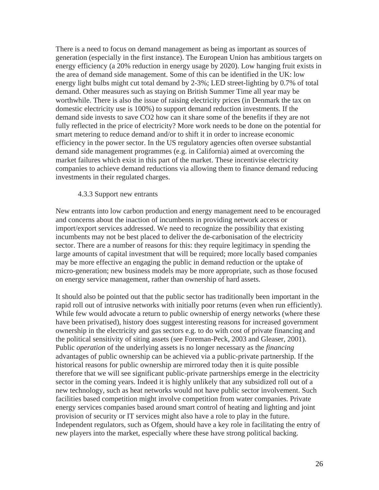There is a need to focus on demand management as being as important as sources of generation (especially in the first instance). The European Union has ambitious targets on energy efficiency (a 20% reduction in energy usage by 2020). Low hanging fruit exists in the area of demand side management. Some of this can be identified in the UK: low energy light bulbs might cut total demand by 2-3%; LED street-lighting by 0.7% of total demand. Other measures such as staying on British Summer Time all year may be worthwhile. There is also the issue of raising electricity prices (in Denmark the tax on domestic electricity use is 100%) to support demand reduction investments. If the demand side invests to save CO2 how can it share some of the benefits if they are not fully reflected in the price of electricity? More work needs to be done on the potential for smart metering to reduce demand and/or to shift it in order to increase economic efficiency in the power sector. In the US regulatory agencies often oversee substantial demand side management programmes (e.g. in California) aimed at overcoming the market failures which exist in this part of the market. These incentivise electricity companies to achieve demand reductions via allowing them to finance demand reducing investments in their regulated charges.

#### 4.3.3 Support new entrants

New entrants into low carbon production and energy management need to be encouraged and concerns about the inaction of incumbents in providing network access or import/export services addressed. We need to recognize the possibility that existing incumbents may not be best placed to deliver the de-carbonisation of the electricity sector. There are a number of reasons for this: they require legitimacy in spending the large amounts of capital investment that will be required; more locally based companies may be more effective an engaging the public in demand reduction or the uptake of micro-generation; new business models may be more appropriate, such as those focused on energy service management, rather than ownership of hard assets.

It should also be pointed out that the public sector has traditionally been important in the rapid roll out of intrusive networks with initially poor returns (even when run efficiently). While few would advocate a return to public ownership of energy networks (where these have been privatised), history does suggest interesting reasons for increased government ownership in the electricity and gas sectors e.g. to do with cost of private financing and the political sensitivity of siting assets (see Foreman-Peck, 2003 and Gleaser, 2001). Public *operation* of the underlying assets is no longer necessary as the *financing*  advantages of public ownership can be achieved via a public-private partnership. If the historical reasons for public ownership are mirrored today then it is quite possible therefore that we will see significant public-private partnerships emerge in the electricity sector in the coming years. Indeed it is highly unlikely that any subsidized roll out of a new technology, such as heat networks would not have public sector involvement. Such facilities based competition might involve competition from water companies. Private energy services companies based around smart control of heating and lighting and joint provision of security or IT services might also have a role to play in the future. Independent regulators, such as Ofgem, should have a key role in facilitating the entry of new players into the market, especially where these have strong political backing.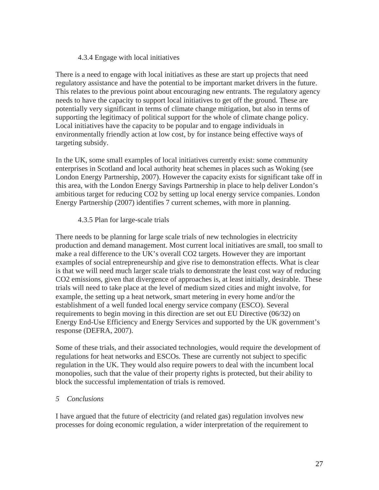# 4.3.4 Engage with local initiatives

There is a need to engage with local initiatives as these are start up projects that need regulatory assistance and have the potential to be important market drivers in the future. This relates to the previous point about encouraging new entrants. The regulatory agency needs to have the capacity to support local initiatives to get off the ground. These are potentially very significant in terms of climate change mitigation, but also in terms of supporting the legitimacy of political support for the whole of climate change policy. Local initiatives have the capacity to be popular and to engage individuals in environmentally friendly action at low cost, by for instance being effective ways of targeting subsidy.

In the UK, some small examples of local initiatives currently exist: some community enterprises in Scotland and local authority heat schemes in places such as Woking (see London Energy Partnership, 2007). However the capacity exists for significant take off in this area, with the London Energy Savings Partnership in place to help deliver London's ambitious target for reducing CO2 by setting up local energy service companies. London Energy Partnership (2007) identifies 7 current schemes, with more in planning.

## 4.3.5 Plan for large-scale trials

There needs to be planning for large scale trials of new technologies in electricity production and demand management. Most current local initiatives are small, too small to make a real difference to the UK's overall CO2 targets. However they are important examples of social entrepreneurship and give rise to demonstration effects. What is clear is that we will need much larger scale trials to demonstrate the least cost way of reducing CO2 emissions, given that divergence of approaches is, at least initially, desirable. These trials will need to take place at the level of medium sized cities and might involve, for example, the setting up a heat network, smart metering in every home and/or the establishment of a well funded local energy service company (ESCO). Several requirements to begin moving in this direction are set out EU Directive (06/32) on Energy End-Use Efficiency and Energy Services and supported by the UK government's response (DEFRA, 2007).

Some of these trials, and their associated technologies, would require the development of regulations for heat networks and ESCOs. These are currently not subject to specific regulation in the UK. They would also require powers to deal with the incumbent local monopolies, such that the value of their property rights is protected, but their ability to block the successful implementation of trials is removed.

## *5 Conclusions*

I have argued that the future of electricity (and related gas) regulation involves new processes for doing economic regulation, a wider interpretation of the requirement to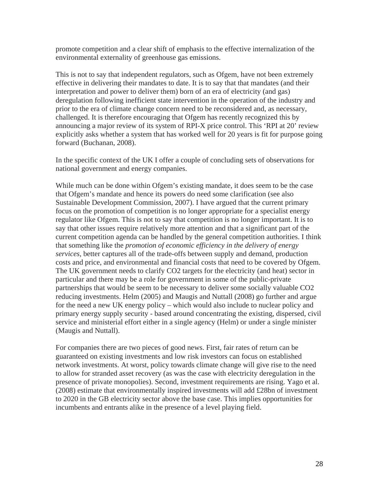promote competition and a clear shift of emphasis to the effective internalization of the environmental externality of greenhouse gas emissions.

This is not to say that independent regulators, such as Ofgem, have not been extremely effective in delivering their mandates to date. It is to say that that mandates (and their interpretation and power to deliver them) born of an era of electricity (and gas) deregulation following inefficient state intervention in the operation of the industry and prior to the era of climate change concern need to be reconsidered and, as necessary, challenged. It is therefore encouraging that Ofgem has recently recognized this by announcing a major review of its system of RPI-X price control. This 'RPI at 20' review explicitly asks whether a system that has worked well for 20 years is fit for purpose going forward (Buchanan, 2008).

In the specific context of the UK I offer a couple of concluding sets of observations for national government and energy companies.

While much can be done within Ofgem's existing mandate, it does seem to be the case that Ofgem's mandate and hence its powers do need some clarification (see also Sustainable Development Commission, 2007). I have argued that the current primary focus on the promotion of competition is no longer appropriate for a specialist energy regulator like Ofgem. This is not to say that competition is no longer important. It is to say that other issues require relatively more attention and that a significant part of the current competition agenda can be handled by the general competition authorities. I think that something like the *promotion of economic efficiency in the delivery of energy services*, better captures all of the trade-offs between supply and demand, production costs and price, and environmental and financial costs that need to be covered by Ofgem. The UK government needs to clarify CO2 targets for the electricity (and heat) sector in particular and there may be a role for government in some of the public-private partnerships that would be seem to be necessary to deliver some socially valuable CO2 reducing investments. Helm (2005) and Maugis and Nuttall (2008) go further and argue for the need a new UK energy policy – which would also include to nuclear policy and primary energy supply security - based around concentrating the existing, dispersed, civil service and ministerial effort either in a single agency (Helm) or under a single minister (Maugis and Nuttall).

For companies there are two pieces of good news. First, fair rates of return can be guaranteed on existing investments and low risk investors can focus on established network investments. At worst, policy towards climate change will give rise to the need to allow for stranded asset recovery (as was the case with electricity deregulation in the presence of private monopolies). Second, investment requirements are rising. Yago et al. (2008) estimate that environmentally inspired investments will add £28bn of investment to 2020 in the GB electricity sector above the base case. This implies opportunities for incumbents and entrants alike in the presence of a level playing field.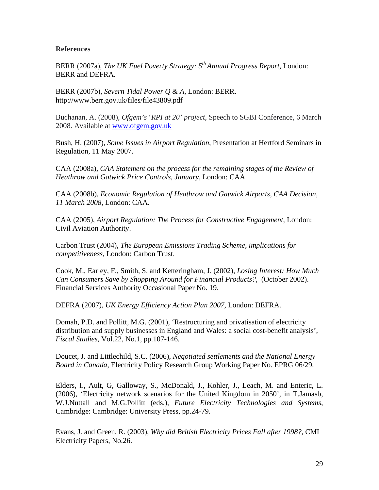## **References**

BERR (2007a), *The UK Fuel Poverty Strategy: 5th Annual Progress Report*, London: BERR and DEFRA.

BERR (2007b), *Severn Tidal Power Q & A*, London: BERR. http://www.berr.gov.uk/files/file43809.pdf

Buchanan, A. (2008), *Ofgem's* '*RPI at 20' project,* Speech to SGBI Conference, 6 March 2008. Available at [www.ofgem.gov.uk](http://www.ofgem.gov.uk/)

Bush, H. (2007), *Some Issues in Airport Regulation*, Presentation at Hertford Seminars in Regulation, 11 May 2007.

CAA (2008a), *CAA Statement on the process for the remaining stages of the Review of Heathrow and Gatwick Price Controls*, *January*, London: CAA.

CAA (2008b), *Economic Regulation of Heathrow and Gatwick Airports, CAA Decision, 11 March 2008*, London: CAA.

CAA (2005), *Airport Regulation: The Process for Constructive Engagement*, London: Civil Aviation Authority.

Carbon Trust (2004), *The European Emissions Trading Scheme, implications for competitiveness,* London: Carbon Trust.

Cook, M., Earley, F., Smith, S. and Ketteringham, J. (2002), *Losing Interest: How Much Can Consumers Save by Shopping Around for Financial Products?,* (October 2002). Financial Services Authority Occasional Paper No. 19.

DEFRA (2007), *UK Energy Efficiency Action Plan 2007*, London: DEFRA.

Domah, P.D. and Pollitt, M.G. (2001), 'Restructuring and privatisation of electricity distribution and supply businesses in England and Wales: a social cost-benefit analysis', *Fiscal Studies*, Vol.22, No.1, pp.107-146.

Doucet, J. and Littlechild, S.C. (2006), *Negotiated settlements and the National Energy Board in Canada*, Electricity Policy Research Group Working Paper No. EPRG 06/29.

Elders, I., Ault, G, Galloway, S., McDonald, J., Kohler, J., Leach, M. and Enteric, L. (2006), 'Electricity network scenarios for the United Kingdom in 2050', in T.Jamasb, W.J.Nuttall and M.G.Pollitt (eds.), *Future Electricity Technologies and Systems*, Cambridge: Cambridge: University Press, pp.24-79.

Evans, J. and Green, R. (2003), *Why did British Electricity Prices Fall after 1998?*, CMI Electricity Papers, No.26.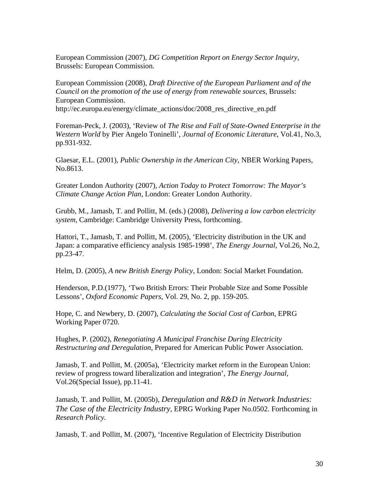European Commission (2007), *DG Competition Report on Energy Sector Inquiry*, Brussels: European Commission.

European Commission (2008), *Draft Directive of the European Parliament and of the Council on the promotion of the use of energy from renewable sources*, Brussels: European Commission. http://ec.europa.eu/energy/climate\_actions/doc/2008\_res\_directive\_en.pdf

Foreman-Peck, J. (2003), 'Review of *The Rise and Fall of State-Owned Enterprise in the Western World* by Pier Angelo Toninelli', *Journal of Economic Literature*, Vol.41, No.3, pp.931-932.

Glaesar, E.L. (2001), *Public Ownership in the American City*, NBER Working Papers, No.8613.

Greater London Authority (2007), *Action Today to Protect Tomorrow: The Mayor's Climate Change Action Plan,* London: Greater London Authority.

Grubb, M., Jamasb, T. and Pollitt, M. (eds.) (2008), *Delivering a low carbon electricity system*, Cambridge: Cambridge University Press, forthcoming.

Hattori, T., Jamasb, T. and Pollitt, M. (2005), 'Electricity distribution in the UK and Japan: a comparative efficiency analysis 1985-1998', *The Energy Journal*, Vol.26, No.2, pp.23-47.

Helm, D. (2005), *A new British Energy Policy*, London: Social Market Foundation.

Henderson, P.D.(1977), 'Two British Errors: Their Probable Size and Some Possible Lessons', *Oxford Economic Papers*, Vol. 29, No. 2, pp. 159-205.

Hope, C. and Newbery, D. (2007), *Calculating the Social Cost of Carbon*, EPRG Working Paper 0720.

Hughes, P. (2002), *Renegotiating A Municipal Franchise During Electricity Restructuring and Deregulation*, Prepared for American Public Power Association.

Jamasb, T. and Pollitt, M. (2005a), 'Electricity market reform in the European Union: review of progress toward liberalization and integration', *The Energy Journal*, Vol.26(Special Issue), pp.11-41.

Jamasb, T. and Pollitt, M. (2005b), *Deregulation and R&D in Network Industries: The Case of the Electricity Industry*, EPRG Working Paper No.0502. Forthcoming in *Research Policy.*

Jamasb, T. and Pollitt, M. (2007), 'Incentive Regulation of Electricity Distribution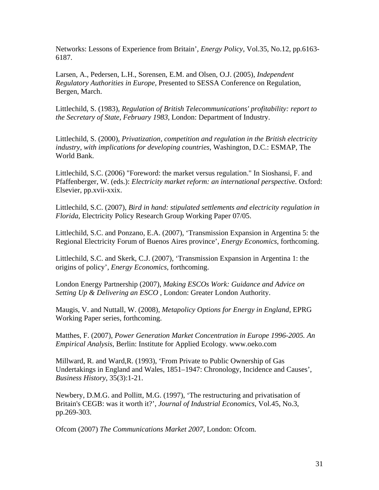Networks: Lessons of Experience from Britain', *Energy Policy*, Vol.35, No.12, pp.6163- 6187.

Larsen, A., Pedersen, L.H., Sorensen, E.M. and Olsen, O.J. (2005), *Independent Regulatory Authorities in Europe*, Presented to SESSA Conference on Regulation, Bergen, March.

Littlechild, S. (1983), *Regulation of British Telecommunications' profitability: report to the Secretary of State, February 1983,* London: Department of Industry.

Littlechild, S. (2000), *Privatization, competition and regulation in the British electricity industry, with implications for developing countries*, Washington, D.C.: ESMAP, The World Bank.

Littlechild, S.C. (2006) "Foreword: the market versus regulation." In Sioshansi, F. and Pfaffenberger, W. (eds.): *Electricity market reform: an international perspective.* Oxford: Elsevier, pp.xvii-xxix.

Littlechild, S.C. (2007), *Bird in hand: stipulated settlements and electricity regulation in Florida*, Electricity Policy Research Group Working Paper 07/05.

Littlechild, S.C. and Ponzano, E.A. (2007), 'Transmission Expansion in Argentina 5: the Regional Electricity Forum of Buenos Aires province', *Energy Economics*, forthcoming.

Littlechild, S.C. and Skerk, C.J. (2007), 'Transmission Expansion in Argentina 1: the origins of policy', *Energy Economics*, forthcoming.

London Energy Partnership (2007), *Making ESCOs Work: Guidance and Advice on Setting Up & Delivering an ESCO* , London: Greater London Authority.

Maugis, V. and Nuttall, W. (2008), *Metapolicy Options for Energy in England*, EPRG Working Paper series, forthcoming.

Matthes, F. (2007), *Power Generation Market Concentration in Europe 1996-2005. An Empirical Analysis*, Berlin: Institute for Applied Ecology. www.oeko.com

Millward, R. and Ward,R. (1993), 'From Private to Public Ownership of Gas Undertakings in England and Wales, 1851–1947: Chronology, Incidence and Causes', *Business History*, 35(3):1-21.

Newbery, D.M.G. and Pollitt, M.G. (1997), 'The restructuring and privatisation of Britain's CEGB: was it worth it?', *Journal of Industrial Economics*, Vol.45, No.3, pp.269-303.

Ofcom (2007) *The Communications Market 2007*, London: Ofcom.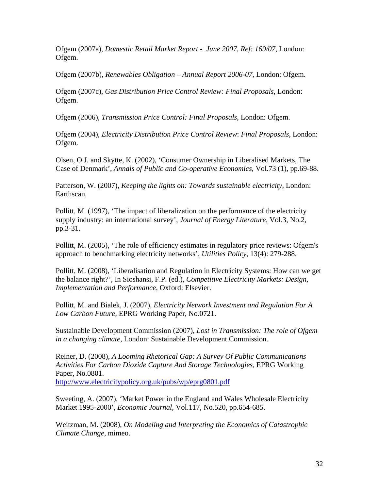Ofgem (2007a), *Domestic Retail Market Report - June 2007, Ref: 169/07*, London: Ofgem.

Ofgem (2007b), *Renewables Obligation – Annual Report 2006-07*, London: Ofgem.

Ofgem (2007c), *Gas Distribution Price Control Review: Final Proposals*, London: Ofgem.

Ofgem (2006), *Transmission Price Control: Final Proposals*, London: Ofgem.

Ofgem (2004), *Electricity Distribution Price Control Review*: *Final Proposals*, London: Ofgem.

Olsen, O.J. and Skytte, K. (2002), 'Consumer Ownership in Liberalised Markets, The Case of Denmark', *Annals of Public and Co-operative Economics*, Vol.73 (1), pp.69-88.

Patterson, W. (2007), *Keeping the lights on: Towards sustainable electricity*, London: Earthscan.

Pollitt, M. (1997), 'The impact of liberalization on the performance of the electricity supply industry: an international survey', *Journal of Energy Literature*, Vol.3, No.2, pp.3-31.

Pollitt, M. (2005), 'The role of efficiency estimates in regulatory price reviews: Ofgem's approach to benchmarking electricity networks', *Utilities Policy*, 13(4): 279-288.

Pollitt, M. (2008), 'Liberalisation and Regulation in Electricity Systems: How can we get the balance right?', In Sioshansi, F.P. (ed.), *Competitive Electricity Markets: Design, Implementation and Performance*, Oxford: Elsevier.

Pollitt, M. and Bialek, J. (2007), *Electricity Network Investment and Regulation For A Low Carbon Future,* EPRG Working Paper, No.0721.

Sustainable Development Commission (2007), *Lost in Transmission: The role of Ofgem in a changing climate*, London: Sustainable Development Commission.

Reiner, D. (2008), *A Looming Rhetorical Gap: A Survey Of Public Communications Activities For Carbon Dioxide Capture And Storage Technologies*, EPRG Working Paper, No.0801. <http://www.electricitypolicy.org.uk/pubs/wp/eprg0801.pdf>

Sweeting, A. (2007), 'Market Power in the England and Wales Wholesale Electricity Market 1995-2000', *Economic Journal*, Vol.117, No.520, pp.654-685.

Weitzman, M. (2008), *On Modeling and Interpreting the Economics of Catastrophic Climate Change,* mimeo.